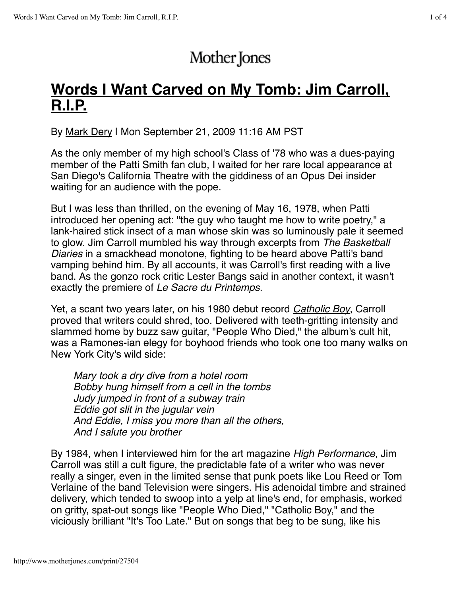## Mother Jones

## **Words I Want Carved on My Tomb: Jim Carroll, R.I.P.**

By Mark Dery | Mon September 21, 2009 11:16 AM PST

As the only member of my high school's Class of '78 who was a dues-paying member of the Patti Smith fan club, I waited for her rare local appearance at San Diego's California Theatre with the giddiness of an Opus Dei insider waiting for an audience with the pope.

But I was less than thrilled, on the evening of May 16, 1978, when Patti introduced her opening act: "the guy who taught me how to write poetry," a lank-haired stick insect of a man whose skin was so luminously pale it seemed to glow. Jim Carroll mumbled his way through excerpts from *The Basketball Diaries* in a smackhead monotone, fighting to be heard above Patti's band vamping behind him. By all accounts, it was Carroll's first reading with a live band. As the gonzo rock critic Lester Bangs said in another context, it wasn't exactly the premiere of *Le Sacre du Printemps*.

Yet, a scant two years later, on his 1980 debut record *Catholic Boy*, Carroll proved that writers could shred, too. Delivered with teeth-gritting intensity and slammed home by buzz saw guitar, "People Who Died," the album's cult hit, was a Ramones-ian elegy for boyhood friends who took one too many walks on New York City's wild side:

*Mary took a dry dive from a hotel room Bobby hung himself from a cell in the tombs Judy jumped in front of a subway train Eddie got slit in the jugular vein And Eddie, I miss you more than all the others, And I salute you brother*

By 1984, when I interviewed him for the art magazine *High Performance*, Jim Carroll was still a cult figure, the predictable fate of a writer who was never really a singer, even in the limited sense that punk poets like Lou Reed or Tom Verlaine of the band Television were singers. His adenoidal timbre and strained delivery, which tended to swoop into a yelp at line's end, for emphasis, worked on gritty, spat-out songs like "People Who Died," "Catholic Boy," and the viciously brilliant "It's Too Late." But on songs that beg to be sung, like his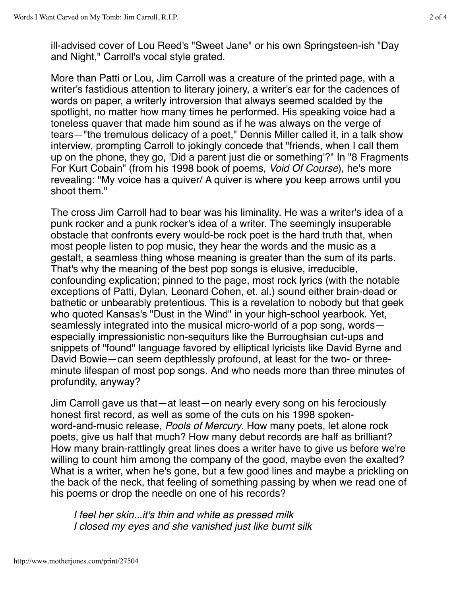ill-advised cover of Lou Reed's "Sweet Jane" or his own Springsteen-ish "Day and Night," Carroll's vocal style grated.

More than Patti or Lou, Jim Carroll was a creature of the printed page, with a writer's fastidious attention to literary joinery, a writer's ear for the cadences of words on paper, a writerly introversion that always seemed scalded by the spotlight, no matter how many times he performed. His speaking voice had a toneless quaver that made him sound as if he was always on the verge of tears—"the tremulous delicacy of a poet," Dennis Miller called it, in a talk show interview, prompting Carroll to jokingly concede that "friends, when I call them up on the phone, they go, 'Did a parent just die or something'?" In "8 Fragments For Kurt Cobain" (from his 1998 book of poems, *Void Of Course*), he's more revealing: "My voice has a quiver/ A quiver is where you keep arrows until you shoot them."

The cross Jim Carroll had to bear was his liminality. He was a writer's idea of a punk rocker and a punk rocker's idea of a writer. The seemingly insuperable obstacle that confronts every would-be rock poet is the hard truth that, when most people listen to pop music, they hear the words and the music as a gestalt, a seamless thing whose meaning is greater than the sum of its parts. That's why the meaning of the best pop songs is elusive, irreducible, confounding explication; pinned to the page, most rock lyrics (with the notable exceptions of Patti, Dylan, Leonard Cohen, et. al.) sound either brain-dead or bathetic or unbearably pretentious. This is a revelation to nobody but that geek who quoted Kansas's "Dust in the Wind" in your high-school yearbook. Yet, seamlessly integrated into the musical micro-world of a pop song, words especially impressionistic non-sequiturs like the Burroughsian cut-ups and snippets of "found" language favored by elliptical lyricists like David Byrne and David Bowie—can seem depthlessly profound, at least for the two- or threeminute lifespan of most pop songs. And who needs more than three minutes of profundity, anyway?

Jim Carroll gave us that—at least—on nearly every song on his ferociously honest first record, as well as some of the cuts on his 1998 spokenword-and-music release, *Pools of Mercury*. How many poets, let alone rock poets, give us half that much? How many debut records are half as brilliant? How many brain-rattlingly great lines does a writer have to give us before we're willing to count him among the company of the good, maybe even the exalted? What is a writer, when he's gone, but a few good lines and maybe a prickling on the back of the neck, that feeling of something passing by when we read one of his poems or drop the needle on one of his records?

*I feel her skin...it's thin and white as pressed milk I closed my eyes and she vanished just like burnt silk*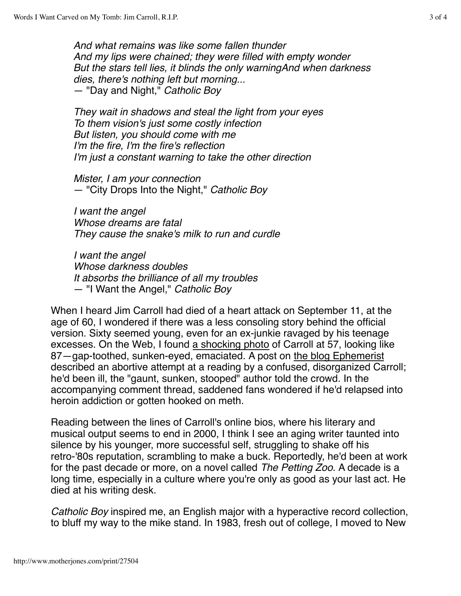*And what remains was like some fallen thunder And my lips were chained; they were filled with empty wonder But the stars tell lies, it blinds the only warningAnd when darkness dies, there's nothing left but morning...* — "Day and Night," *Catholic Boy*

*They wait in shadows and steal the light from your eyes To them vision's just some costly infection But listen, you should come with me I'm the fire, I'm the fire's reflection I'm just a constant warning to take the other direction*

*Mister, I am your connection* — "City Drops Into the Night," *Catholic Boy*

*I want the angel Whose dreams are fatal They cause the snake's milk to run and curdle*

*I want the angel Whose darkness doubles It absorbs the brilliance of all my troubles* — "I Want the Angel," *Catholic Boy*

When I heard Jim Carroll had died of a heart attack on September 11, at the age of 60, I wondered if there was a less consoling story behind the official version. Sixty seemed young, even for an ex-junkie ravaged by his teenage excesses. On the Web, I found a shocking photo of Carroll at 57, looking like 87—gap-toothed, sunken-eyed, emaciated. A post on the blog Ephemerist described an abortive attempt at a reading by a confused, disorganized Carroll; he'd been ill, the "gaunt, sunken, stooped" author told the crowd. In the accompanying comment thread, saddened fans wondered if he'd relapsed into heroin addiction or gotten hooked on meth.

Reading between the lines of Carroll's online bios, where his literary and musical output seems to end in 2000, I think I see an aging writer taunted into silence by his younger, more successful self, struggling to shake off his retro-'80s reputation, scrambling to make a buck. Reportedly, he'd been at work for the past decade or more, on a novel called *The Petting Zoo*. A decade is a long time, especially in a culture where you're only as good as your last act. He died at his writing desk.

*Catholic Boy* inspired me, an English major with a hyperactive record collection, to bluff my way to the mike stand. In 1983, fresh out of college, I moved to New